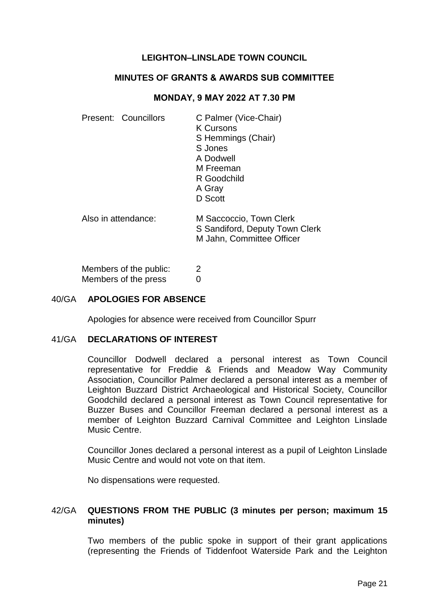# **LEIGHTON–LINSLADE TOWN COUNCIL**

## **MINUTES OF GRANTS & AWARDS SUB COMMITTEE**

#### **MONDAY, 9 MAY 2022 AT 7.30 PM**

|                     | Present: Councillors | C Palmer (Vice-Chair)<br><b>K Cursons</b><br>S Hemmings (Chair)<br>S Jones<br>A Dodwell<br>M Freeman<br>R Goodchild<br>A Gray<br>D Scott |
|---------------------|----------------------|------------------------------------------------------------------------------------------------------------------------------------------|
| Also in attendance: |                      | M Saccoccio, Town Clerk<br>S Sandiford, Deputy Town Clerk<br>M Jahn, Committee Officer                                                   |

Members of the public: 2 Members of the press 0

#### 40/GA **APOLOGIES FOR ABSENCE**

Apologies for absence were received from Councillor Spurr

### 41/GA **DECLARATIONS OF INTEREST**

Councillor Dodwell declared a personal interest as Town Council representative for Freddie & Friends and Meadow Way Community Association, Councillor Palmer declared a personal interest as a member of Leighton Buzzard District Archaeological and Historical Society, Councillor Goodchild declared a personal interest as Town Council representative for Buzzer Buses and Councillor Freeman declared a personal interest as a member of Leighton Buzzard Carnival Committee and Leighton Linslade Music Centre.

Councillor Jones declared a personal interest as a pupil of Leighton Linslade Music Centre and would not vote on that item.

No dispensations were requested.

### 42/GA **QUESTIONS FROM THE PUBLIC (3 minutes per person; maximum 15 minutes)**

Two members of the public spoke in support of their grant applications (representing the Friends of Tiddenfoot Waterside Park and the Leighton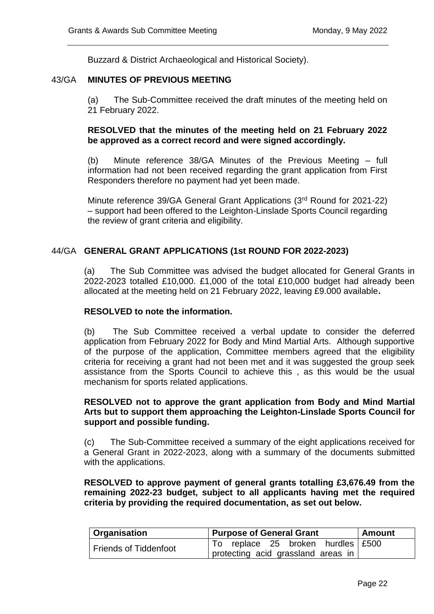Buzzard & District Archaeological and Historical Society).

### 43/GA **MINUTES OF PREVIOUS MEETING**

(a) The Sub-Committee received the draft minutes of the meeting held on 21 February 2022.

## **RESOLVED that the minutes of the meeting held on 21 February 2022 be approved as a correct record and were signed accordingly.**

(b) Minute reference 38/GA Minutes of the Previous Meeting – full information had not been received regarding the grant application from First Responders therefore no payment had yet been made.

Minute reference 39/GA General Grant Applications (3rd Round for 2021-22) – support had been offered to the Leighton-Linslade Sports Council regarding the review of grant criteria and eligibility.

### 44/GA **GENERAL GRANT APPLICATIONS (1st ROUND FOR 2022-2023)**

(a) The Sub Committee was advised the budget allocated for General Grants in 2022-2023 totalled £10,000. £1,000 of the total £10,000 budget had already been allocated at the meeting held on 21 February 2022, leaving £9.000 available**.**

#### **RESOLVED to note the information.**

(b) The Sub Committee received a verbal update to consider the deferred application from February 2022 for Body and Mind Martial Arts. Although supportive of the purpose of the application, Committee members agreed that the eligibility criteria for receiving a grant had not been met and it was suggested the group seek assistance from the Sports Council to achieve this , as this would be the usual mechanism for sports related applications.

### **RESOLVED not to approve the grant application from Body and Mind Martial Arts but to support them approaching the Leighton-Linslade Sports Council for support and possible funding.**

(c) The Sub-Committee received a summary of the eight applications received for a General Grant in 2022-2023, along with a summary of the documents submitted with the applications.

**RESOLVED to approve payment of general grants totalling £3,676.49 from the remaining 2022-23 budget, subject to all applicants having met the required criteria by providing the required documentation, as set out below.** 

| ∣ Organisation               | <b>Purpose of General Grant</b>    | ∣ Amount |
|------------------------------|------------------------------------|----------|
| <b>Friends of Tiddenfoot</b> | To replace 25 broken hurdles £500  |          |
|                              | protecting acid grassland areas in |          |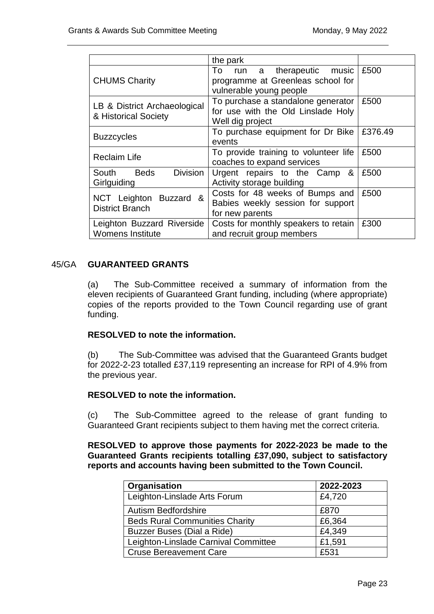| the park                                              |                                                                                              |         |
|-------------------------------------------------------|----------------------------------------------------------------------------------------------|---------|
| <b>CHUMS Charity</b>                                  | To run a therapeutic music<br>programme at Greenleas school for<br>vulnerable young people   | £500    |
| LB & District Archaeological<br>& Historical Society  | To purchase a standalone generator<br>for use with the Old Linslade Holy<br>Well dig project | £500    |
| <b>Buzzcycles</b>                                     | To purchase equipment for Dr Bike<br>events                                                  | £376.49 |
| <b>Reclaim Life</b>                                   | To provide training to volunteer life<br>coaches to expand services                          | £500    |
| <b>Division</b><br>South Beds<br>Girlguiding          | Urgent repairs to the Camp<br>&<br>Activity storage building                                 | £500    |
| NCT Leighton Buzzard &<br><b>District Branch</b>      | Costs for 48 weeks of Bumps and<br>Babies weekly session for support<br>for new parents      | £500    |
| Leighton Buzzard Riverside<br><b>Womens Institute</b> | Costs for monthly speakers to retain<br>and recruit group members                            | £300    |

# 45/GA **GUARANTEED GRANTS**

(a) The Sub-Committee received a summary of information from the eleven recipients of Guaranteed Grant funding, including (where appropriate) copies of the reports provided to the Town Council regarding use of grant funding.

# **RESOLVED to note the information.**

(b) The Sub-Committee was advised that the Guaranteed Grants budget for 2022-2-23 totalled £37,119 representing an increase for RPI of 4.9% from the previous year.

# **RESOLVED to note the information.**

(c) The Sub-Committee agreed to the release of grant funding to Guaranteed Grant recipients subject to them having met the correct criteria.

**RESOLVED to approve those payments for 2022-2023 be made to the Guaranteed Grants recipients totalling £37,090, subject to satisfactory reports and accounts having been submitted to the Town Council.**

| Organisation                          | 2022-2023 |
|---------------------------------------|-----------|
| Leighton-Linslade Arts Forum          | £4,720    |
| Autism Bedfordshire                   | £870      |
| <b>Beds Rural Communities Charity</b> | £6,364    |
| Buzzer Buses (Dial a Ride)            | £4,349    |
| Leighton-Linslade Carnival Committee  | £1,591    |
| <b>Cruse Bereavement Care</b>         | £531      |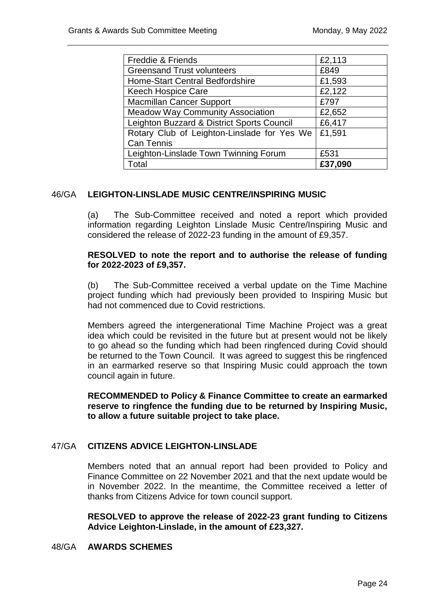| <b>Freddie &amp; Friends</b>                | £2,113  |
|---------------------------------------------|---------|
| <b>Greensand Trust volunteers</b>           | £849    |
| <b>Home-Start Central Bedfordshire</b>      | £1,593  |
| <b>Keech Hospice Care</b>                   | £2,122  |
| <b>Macmillan Cancer Support</b>             | £797    |
| <b>Meadow Way Community Association</b>     | £2,652  |
| Leighton Buzzard & District Sports Council  | £6,417  |
| Rotary Club of Leighton-Linslade for Yes We | £1,591  |
| <b>Can Tennis</b>                           |         |
| Leighton-Linslade Town Twinning Forum       | £531    |
| Гоtal                                       | £37,090 |

# 46/GA **LEIGHTON-LINSLADE MUSIC CENTRE/INSPIRING MUSIC**

(a) The Sub-Committee received and noted a report which provided information regarding Leighton Linslade Music Centre/Inspiring Music and considered the release of 2022-23 funding in the amount of £9,357.

### **RESOLVED to note the report and to authorise the release of funding for 2022-2023 of £9,357.**

(b) The Sub-Committee received a verbal update on the Time Machine project funding which had previously been provided to Inspiring Music but had not commenced due to Covid restrictions.

Members agreed the intergenerational Time Machine Project was a great idea which could be revisited in the future but at present would not be likely to go ahead so the funding which had been ringfenced during Covid should be returned to the Town Council. It was agreed to suggest this be ringfenced in an earmarked reserve so that Inspiring Music could approach the town council again in future.

## **RECOMMENDED to Policy & Finance Committee to create an earmarked reserve to ringfence the funding due to be returned by Inspiring Music, to allow a future suitable project to take place.**

# 47/GA **CITIZENS ADVICE LEIGHTON-LINSLADE**

Members noted that an annual report had been provided to Policy and Finance Committee on 22 November 2021 and that the next update would be in November 2022. In the meantime, the Committee received a letter of thanks from Citizens Advice for town council support.

**RESOLVED to approve the release of 2022-23 grant funding to Citizens Advice Leighton-Linslade, in the amount of £23,327.**

#### 48/GA **AWARDS SCHEMES**